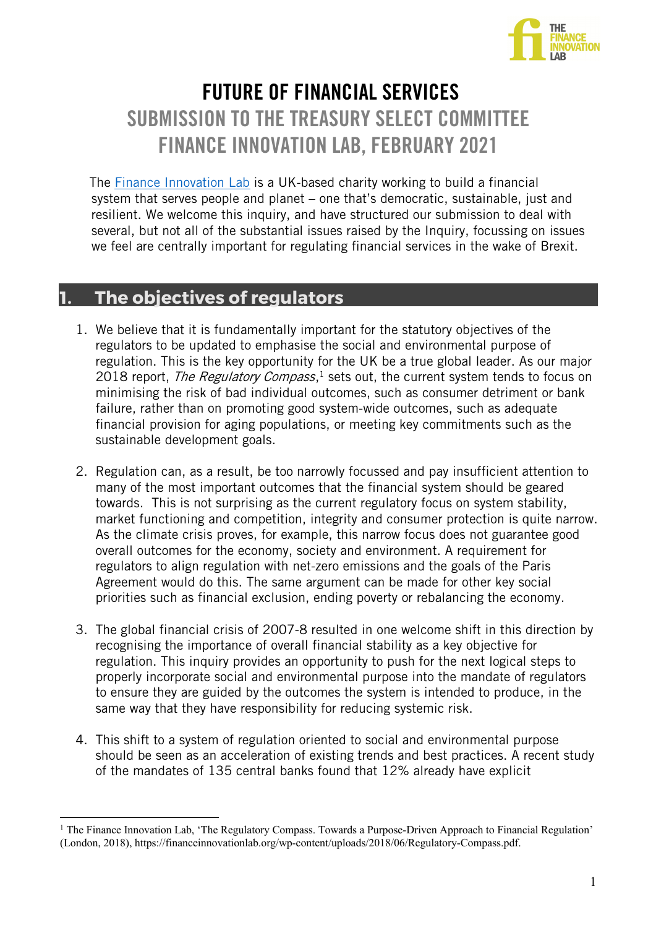

# FUTURE OF FINANCIAL SERVICES SUBMISSION TO THE TREASURY SELECT COMMITTEE FINANCE INNOVATION LAB, FEBRUARY 2021

 The Finance Innovation Lab is a UK-based charity working to build a financial system that serves people and planet – one that's democratic, sustainable, just and resilient. We welcome this inquiry, and have structured our submission to deal with several, but not all of the substantial issues raised by the Inquiry, focussing on issues we feel are centrally important for regulating financial services in the wake of Brexit.

# **1. The objectives of regulators**

- 1. We believe that it is fundamentally important for the statutory objectives of the regulators to be updated to emphasise the social and environmental purpose of regulation. This is the key opportunity for the UK be a true global leader. As our major 2018 report, *The Regulatory Compass*,<sup>1</sup> sets out, the current system tends to focus on minimising the risk of bad individual outcomes, such as consumer detriment or bank failure, rather than on promoting good system-wide outcomes, such as adequate financial provision for aging populations, or meeting key commitments such as the sustainable development goals.
- 2. Regulation can, as a result, be too narrowly focussed and pay insufficient attention to many of the most important outcomes that the financial system should be geared towards. This is not surprising as the current regulatory focus on system stability, market functioning and competition, integrity and consumer protection is quite narrow. As the climate crisis proves, for example, this narrow focus does not guarantee good overall outcomes for the economy, society and environment. A requirement for regulators to align regulation with net-zero emissions and the goals of the Paris Agreement would do this. The same argument can be made for other key social priorities such as financial exclusion, ending poverty or rebalancing the economy.
- 3. The global financial crisis of 2007-8 resulted in one welcome shift in this direction by recognising the importance of overall financial stability as a key objective for regulation. This inquiry provides an opportunity to push for the next logical steps to properly incorporate social and environmental purpose into the mandate of regulators to ensure they are guided by the outcomes the system is intended to produce, in the same way that they have responsibility for reducing systemic risk.
- 4. This shift to a system of regulation oriented to social and environmental purpose should be seen as an acceleration of existing trends and best practices. A recent study of the mandates of 135 central banks found that 12% already have explicit

<sup>&</sup>lt;sup>1</sup> The Finance Innovation Lab, 'The Regulatory Compass. Towards a Purpose-Driven Approach to Financial Regulation' (London, 2018), https://financeinnovationlab.org/wp-content/uploads/2018/06/Regulatory-Compass.pdf.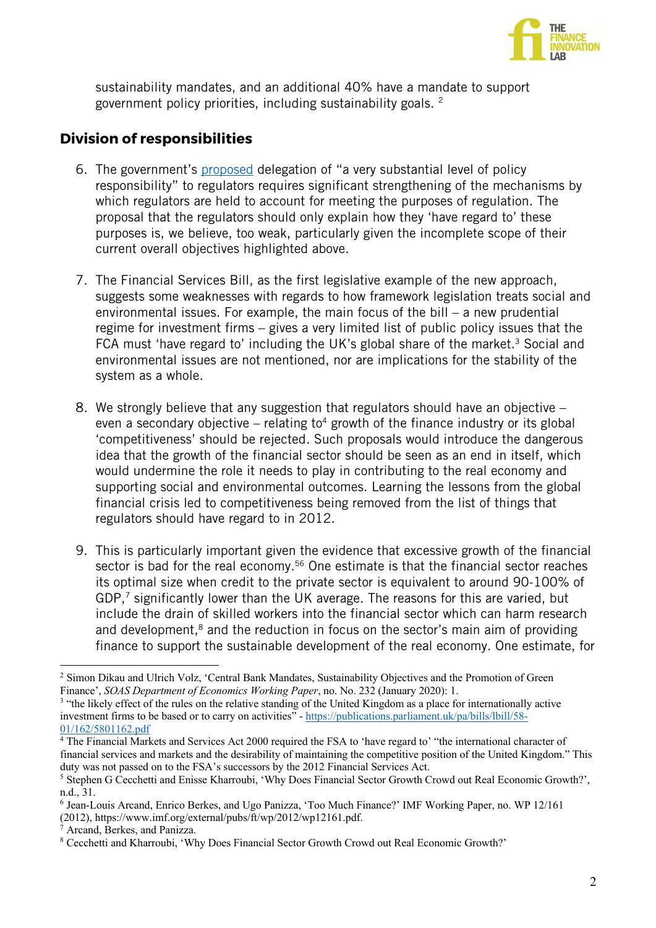

sustainability mandates, and an additional 40% have a mandate to support government policy priorities, including sustainability goals. 2

## **Division of responsibilities**

- 6. The government's proposed delegation of "a very substantial level of policy responsibility" to regulators requires significant strengthening of the mechanisms by which regulators are held to account for meeting the purposes of regulation. The proposal that the regulators should only explain how they 'have regard to' these purposes is, we believe, too weak, particularly given the incomplete scope of their current overall objectives highlighted above.
- 7. The Financial Services Bill, as the first legislative example of the new approach, suggests some weaknesses with regards to how framework legislation treats social and environmental issues. For example, the main focus of the bill – a new prudential regime for investment firms – gives a very limited list of public policy issues that the FCA must 'have regard to' including the UK's global share of the market.<sup>3</sup> Social and environmental issues are not mentioned, nor are implications for the stability of the system as a whole.
- 8. We strongly believe that any suggestion that regulators should have an objective even a secondary objective – relating to<sup>4</sup> growth of the finance industry or its global 'competitiveness' should be rejected. Such proposals would introduce the dangerous idea that the growth of the financial sector should be seen as an end in itself, which would undermine the role it needs to play in contributing to the real economy and supporting social and environmental outcomes. Learning the lessons from the global financial crisis led to competitiveness being removed from the list of things that regulators should have regard to in 2012.
- 9. This is particularly important given the evidence that excessive growth of the financial sector is bad for the real economy.<sup>56</sup> One estimate is that the financial sector reaches its optimal size when credit to the private sector is equivalent to around 90-100% of GDP,7 significantly lower than the UK average. The reasons for this are varied, but include the drain of skilled workers into the financial sector which can harm research and development, $8$  and the reduction in focus on the sector's main aim of providing finance to support the sustainable development of the real economy. One estimate, for

<sup>&</sup>lt;sup>2</sup> Simon Dikau and Ulrich Volz, 'Central Bank Mandates, Sustainability Objectives and the Promotion of Green Finance', *SOAS Department of Economics Working Paper*, no. No. 232 (January 2020): 1.

<sup>&</sup>lt;sup>3</sup> "the likely effect of the rules on the relative standing of the United Kingdom as a place for internationally active investment firms to be based or to carry on activities" - https://publications.parliament.uk/pa/bills/lbill/58-  $\frac{01}{162/5801162}$ .pdf<br><sup>4</sup> The Financial Markets and Services Act 2000 required the FSA to 'have regard to' "the international character of

financial services and markets and the desirability of maintaining the competitive position of the United Kingdom." This duty was not passed on to the FSA's successors by the 2012 Financial Services Act.<br><sup>5</sup> Stephen G Cecchetti and Enisse Kharroubi, 'Why Does Financial Sector Growth Crowd out Real Economic Growth?',

n.d., 31.

<sup>6</sup> Jean-Louis Arcand, Enrico Berkes, and Ugo Panizza, 'Too Much Finance?' IMF Working Paper, no. WP 12/161 (2012), https://www.imf.org/external/pubs/ft/wp/2012/wp12161.pdf.

<sup>7</sup> Arcand, Berkes, and Panizza.

<sup>8</sup> Cecchetti and Kharroubi, 'Why Does Financial Sector Growth Crowd out Real Economic Growth?'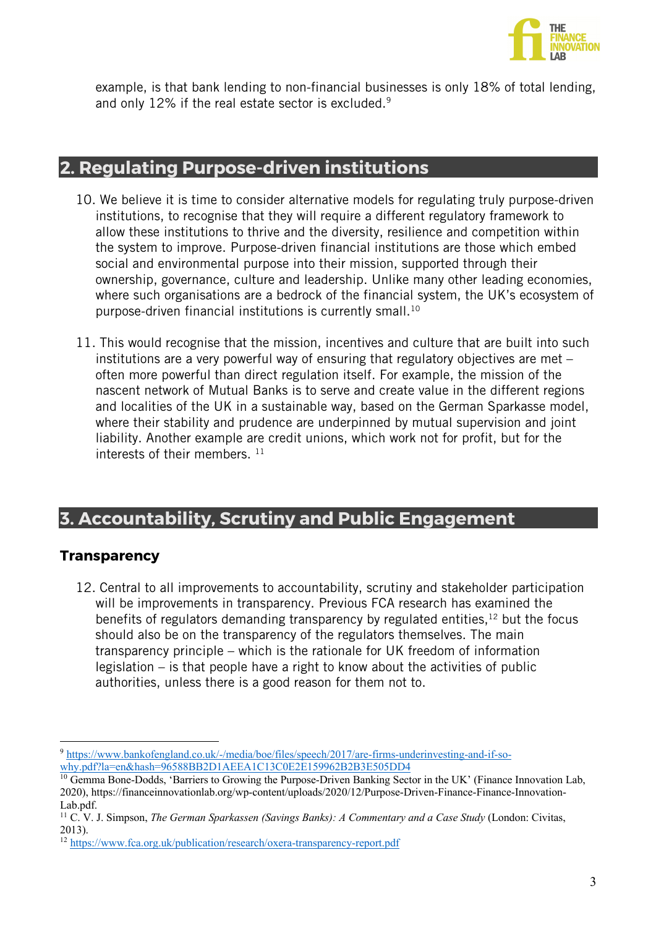

example, is that bank lending to non-financial businesses is only 18% of total lending, and only 12% if the real estate sector is excluded.<sup>9</sup>

# **2. Regulating Purpose-driven institutions**

- 10. We believe it is time to consider alternative models for regulating truly purpose-driven institutions, to recognise that they will require a different regulatory framework to allow these institutions to thrive and the diversity, resilience and competition within the system to improve. Purpose-driven financial institutions are those which embed social and environmental purpose into their mission, supported through their ownership, governance, culture and leadership. Unlike many other leading economies, where such organisations are a bedrock of the financial system, the UK's ecosystem of purpose-driven financial institutions is currently small. 10
- 11. This would recognise that the mission, incentives and culture that are built into such institutions are a very powerful way of ensuring that regulatory objectives are met – often more powerful than direct regulation itself. For example, the mission of the nascent network of Mutual Banks is to serve and create value in the different regions and localities of the UK in a sustainable way, based on the German Sparkasse model, where their stability and prudence are underpinned by mutual supervision and joint liability. Another example are credit unions, which work not for profit, but for the interests of their members.  $11$

# **3. Accountability, Scrutiny and Public Engagement**

#### **Transparency**

12. Central to all improvements to accountability, scrutiny and stakeholder participation will be improvements in transparency. Previous FCA research has examined the benefits of regulators demanding transparency by regulated entities, $12$  but the focus should also be on the transparency of the regulators themselves. The main transparency principle – which is the rationale for UK freedom of information legislation – is that people have a right to know about the activities of public authorities, unless there is a good reason for them not to.

<sup>9</sup> https://www.bankofengland.co.uk/-/media/boe/files/speech/2017/are-firms-underinvesting-and-if-sowhy.pdf?la=en&hash=96588BB2D1AEEA1C13C0E2E159962B2B3E505DD4

<sup>&</sup>lt;sup>10</sup> Gemma Bone-Dodds, 'Barriers to Growing the Purpose-Driven Banking Sector in the UK' (Finance Innovation Lab, 2020), https://financeinnovationlab.org/wp-content/uploads/2020/12/Purpose-Driven-Finance-Finance-Innovation-Lab.pdf.

<sup>11</sup> C. V. J. Simpson, *The German Sparkassen (Savings Banks): A Commentary and a Case Study* (London: Civitas, 2013).

<sup>12</sup> https://www.fca.org.uk/publication/research/oxera-transparency-report.pdf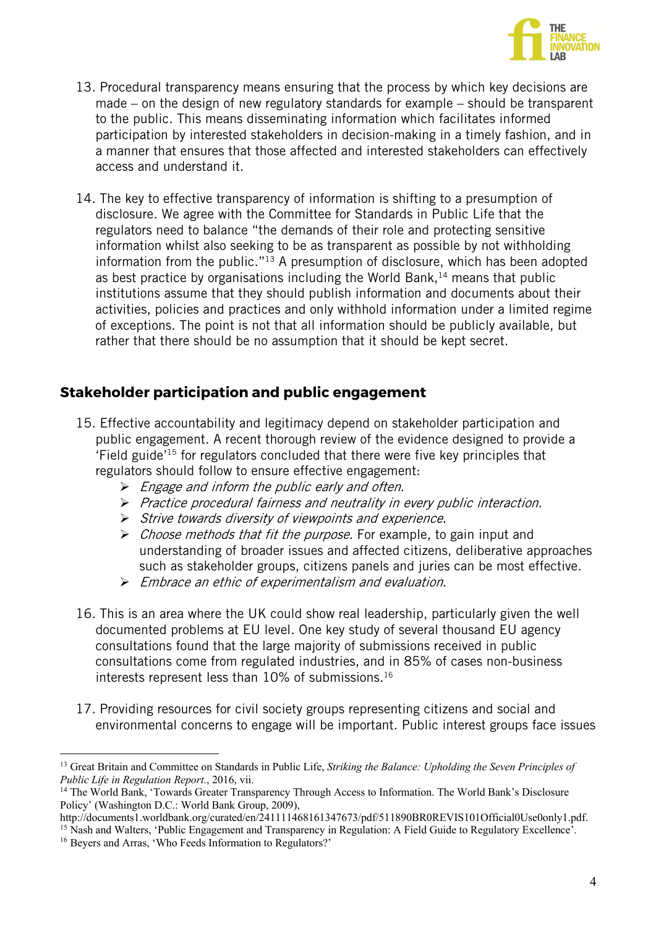

- 13. Procedural transparency means ensuring that the process by which key decisions are made – on the design of new regulatory standards for example – should be transparent to the public. This means disseminating information which facilitates informed participation by interested stakeholders in decision-making in a timely fashion, and in a manner that ensures that those affected and interested stakeholders can effectively access and understand it.
- 14. The key to effective transparency of information is shifting to a presumption of disclosure. We agree with the Committee for Standards in Public Life that the regulators need to balance "the demands of their role and protecting sensitive information whilst also seeking to be as transparent as possible by not withholding information from the public."13 A presumption of disclosure, which has been adopted as best practice by organisations including the World Bank, <sup>14</sup> means that public institutions assume that they should publish information and documents about their activities, policies and practices and only withhold information under a limited regime of exceptions. The point is not that all information should be publicly available, but rather that there should be no assumption that it should be kept secret.

## **Stakeholder participation and public engagement**

- 15. Effective accountability and legitimacy depend on stakeholder participation and public engagement. A recent thorough review of the evidence designed to provide a 'Field guide' <sup>15</sup> for regulators concluded that there were five key principles that regulators should follow to ensure effective engagement:
	- $\triangleright$  Engage and inform the public early and often.
	- Ø Practice procedural fairness and neutrality in every public interaction.
	- Ø Strive towards diversity of viewpoints and experience.
	- $\triangleright$  *Choose methods that fit the purpose.* For example, to gain input and understanding of broader issues and affected citizens, deliberative approaches such as stakeholder groups, citizens panels and juries can be most effective.
	- $\triangleright$  Embrace an ethic of experimentalism and evaluation.
- 16. This is an area where the UK could show real leadership, particularly given the well documented problems at EU level. One key study of several thousand EU agency consultations found that the large majority of submissions received in public consultations come from regulated industries, and in 85% of cases non-business interests represent less than 10% of submissions.<sup>16</sup>
- 17. Providing resources for civil society groups representing citizens and social and environmental concerns to engage will be important. Public interest groups face issues

<sup>15</sup> Nash and Walters, 'Public Engagement and Transparency in Regulation: A Field Guide to Regulatory Excellence'.

<sup>13</sup> Great Britain and Committee on Standards in Public Life, *Striking the Balance: Upholding the Seven Principles of Public Life in Regulation Report.*, 2016, vii.

<sup>&</sup>lt;sup>14</sup> The World Bank, 'Towards Greater Transparency Through Access to Information. The World Bank's Disclosure Policy' (Washington D.C.: World Bank Group, 2009),

http://documents1.worldbank.org/curated/en/241111468161347673/pdf/511890BR0REVIS101Official0Use0only1.pdf.

<sup>&</sup>lt;sup>16</sup> Beyers and Arras, 'Who Feeds Information to Regulators?'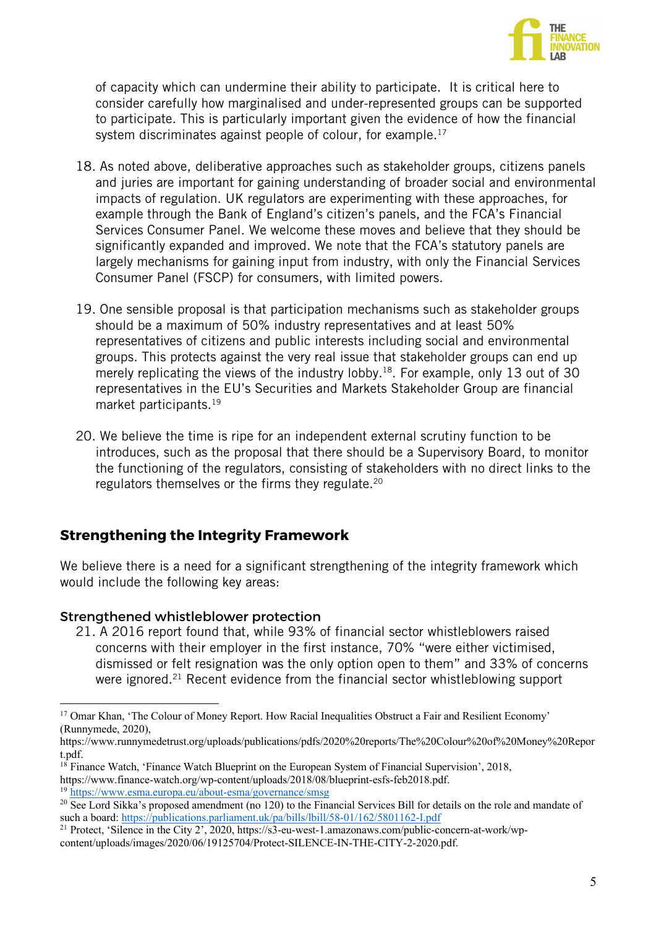

of capacity which can undermine their ability to participate. It is critical here to consider carefully how marginalised and under-represented groups can be supported to participate. This is particularly important given the evidence of how the financial system discriminates against people of colour, for example.<sup>17</sup>

- 18. As noted above, deliberative approaches such as stakeholder groups, citizens panels and juries are important for gaining understanding of broader social and environmental impacts of regulation. UK regulators are experimenting with these approaches, for example through the Bank of England's citizen's panels, and the FCA's Financial Services Consumer Panel. We welcome these moves and believe that they should be significantly expanded and improved. We note that the FCA's statutory panels are largely mechanisms for gaining input from industry, with only the Financial Services Consumer Panel (FSCP) for consumers, with limited powers.
- 19. One sensible proposal is that participation mechanisms such as stakeholder groups should be a maximum of 50% industry representatives and at least 50% representatives of citizens and public interests including social and environmental groups. This protects against the very real issue that stakeholder groups can end up merely replicating the views of the industry lobby.<sup>18</sup>. For example, only 13 out of 30 representatives in the EU's Securities and Markets Stakeholder Group are financial market participants.<sup>19</sup>
- 20. We believe the time is ripe for an independent external scrutiny function to be introduces, such as the proposal that there should be a Supervisory Board, to monitor the functioning of the regulators, consisting of stakeholders with no direct links to the regulators themselves or the firms they regulate.<sup>20</sup>

## **Strengthening the Integrity Framework**

We believe there is a need for a significant strengthening of the integrity framework which would include the following key areas:

#### Strengthened whistleblower protection

21. A 2016 report found that, while 93% of financial sector whistleblowers raised concerns with their employer in the first instance, 70% "were either victimised, dismissed or felt resignation was the only option open to them" and 33% of concerns were ignored.<sup>21</sup> Recent evidence from the financial sector whistleblowing support

<sup>&</sup>lt;sup>17</sup> Omar Khan, 'The Colour of Money Report. How Racial Inequalities Obstruct a Fair and Resilient Economy' (Runnymede, 2020),

https://www.runnymedetrust.org/uploads/publications/pdfs/2020%20reports/The%20Colour%20of%20Money%20Repor t.pdf.

<sup>18</sup> Finance Watch, 'Finance Watch Blueprint on the European System of Financial Supervision', 2018, https://www.finance-watch.org/wp-content/uploads/2018/08/blueprint-esfs-feb2018.pdf. <sup>19</sup> https://www.esma.europa.eu/about-esma/governance/smsg

<sup>&</sup>lt;sup>20</sup> See Lord Sikka's proposed amendment (no 120) to the Financial Services Bill for details on the role and mandate of such a board: https://publications.parliament.uk/pa/bills/lbill/58-01/162/5801162-I.pdf

<sup>21</sup> Protect, 'Silence in the City 2', 2020, https://s3-eu-west-1.amazonaws.com/public-concern-at-work/wpcontent/uploads/images/2020/06/19125704/Protect-SILENCE-IN-THE-CITY-2-2020.pdf.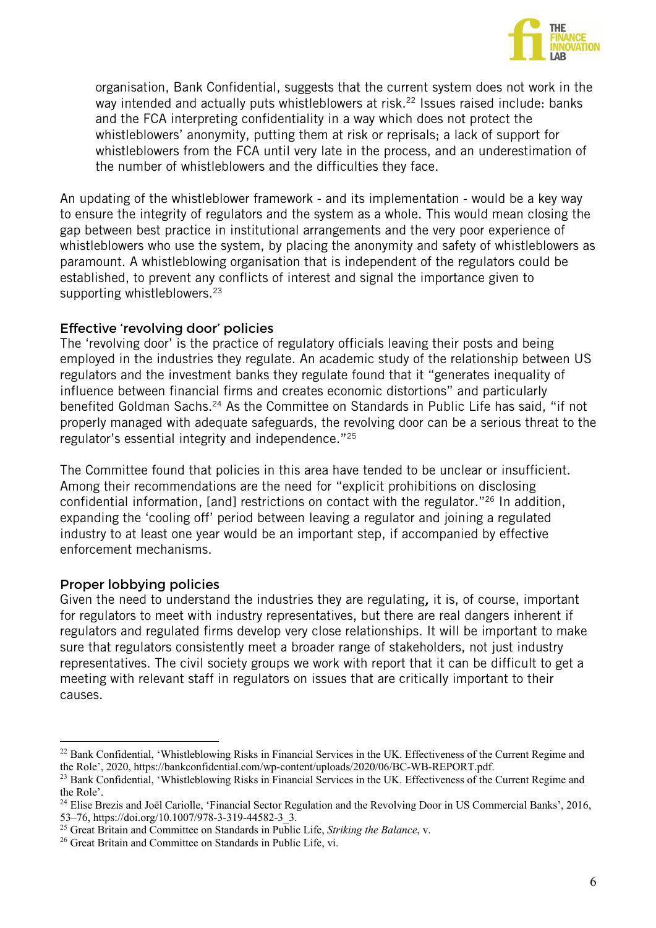

organisation, Bank Confidential, suggests that the current system does not work in the way intended and actually puts whistleblowers at risk.<sup>22</sup> Issues raised include: banks and the FCA interpreting confidentiality in a way which does not protect the whistleblowers' anonymity, putting them at risk or reprisals; a lack of support for whistleblowers from the FCA until very late in the process, and an underestimation of the number of whistleblowers and the difficulties they face.

An updating of the whistleblower framework - and its implementation - would be a key way to ensure the integrity of regulators and the system as a whole. This would mean closing the gap between best practice in institutional arrangements and the very poor experience of whistleblowers who use the system, by placing the anonymity and safety of whistleblowers as paramount. A whistleblowing organisation that is independent of the regulators could be established, to prevent any conflicts of interest and signal the importance given to supporting whistleblowers.<sup>23</sup>

#### Effective 'revolving door' policies

The 'revolving door' is the practice of regulatory officials leaving their posts and being employed in the industries they regulate. An academic study of the relationship between US regulators and the investment banks they regulate found that it "generates inequality of influence between financial firms and creates economic distortions" and particularly benefited Goldman Sachs.<sup>24</sup> As the Committee on Standards in Public Life has said, "if not properly managed with adequate safeguards, the revolving door can be a serious threat to the regulator's essential integrity and independence."25

The Committee found that policies in this area have tended to be unclear or insufficient. Among their recommendations are the need for "explicit prohibitions on disclosing confidential information, [and] restrictions on contact with the regulator."26 In addition, expanding the 'cooling off' period between leaving a regulator and joining a regulated industry to at least one year would be an important step, if accompanied by effective enforcement mechanisms.

#### Proper lobbying policies

Given the need to understand the industries they are regulating, it is, of course, important for regulators to meet with industry representatives, but there are real dangers inherent if regulators and regulated firms develop very close relationships. It will be important to make sure that regulators consistently meet a broader range of stakeholders, not just industry representatives. The civil society groups we work with report that it can be difficult to get a meeting with relevant staff in regulators on issues that are critically important to their causes.

<sup>&</sup>lt;sup>22</sup> Bank Confidential, 'Whistleblowing Risks in Financial Services in the UK. Effectiveness of the Current Regime and the Role', 2020, https://bankconfidential.com/wp-content/uploads/2020/06/BC-WB-REPORT.pdf.

<sup>&</sup>lt;sup>23</sup> Bank Confidential, 'Whistleblowing Risks in Financial Services in the UK. Effectiveness of the Current Regime and the Role'.

<sup>&</sup>lt;sup>24</sup> Elise Brezis and Joël Cariolle, 'Financial Sector Regulation and the Revolving Door in US Commercial Banks', 2016, 53–76, https://doi.org/10.1007/978-3-319-44582-3\_3.

<sup>25</sup> Great Britain and Committee on Standards in Public Life, *Striking the Balance*, v.

<sup>&</sup>lt;sup>26</sup> Great Britain and Committee on Standards in Public Life, vi.